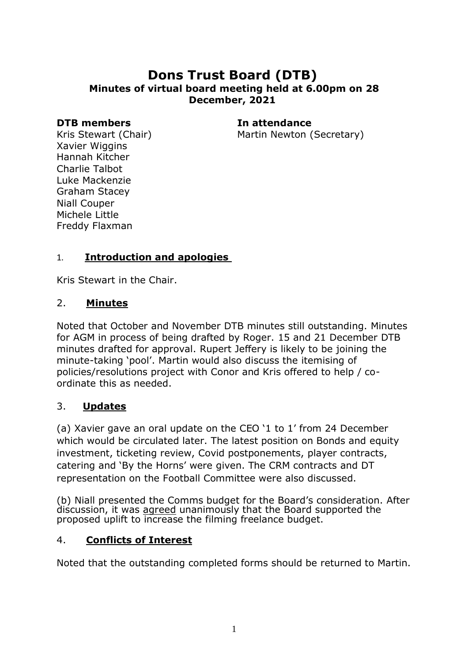# **Dons Trust Board (DTB) Minutes of virtual board meeting held at 6.00pm on 28 December, 2021**

#### **DTB members In attendance**

Martin Newton (Secretary)

Kris Stewart (Chair) Xavier Wiggins Hannah Kitcher Charlie Talbot Luke Mackenzie Graham Stacey Niall Couper Michele Little Freddy Flaxman

### 1. **Introduction and apologies**

Kris Stewart in the Chair.

### 2. **Minutes**

Noted that October and November DTB minutes still outstanding. Minutes for AGM in process of being drafted by Roger. 15 and 21 December DTB minutes drafted for approval. Rupert Jeffery is likely to be joining the minute-taking 'pool'. Martin would also discuss the itemising of policies/resolutions project with Conor and Kris offered to help / coordinate this as needed.

#### 3. **Updates**

(a) Xavier gave an oral update on the CEO '1 to 1' from 24 December which would be circulated later. The latest position on Bonds and equity investment, ticketing review, Covid postponements, player contracts, catering and 'By the Horns' were given. The CRM contracts and DT representation on the Football Committee were also discussed.

(b) Niall presented the Comms budget for the Board's consideration. After discussion, it was agreed unanimously that the Board supported the proposed uplift to increase the filming freelance budget.

# 4. **Conflicts of Interest**

Noted that the outstanding completed forms should be returned to Martin.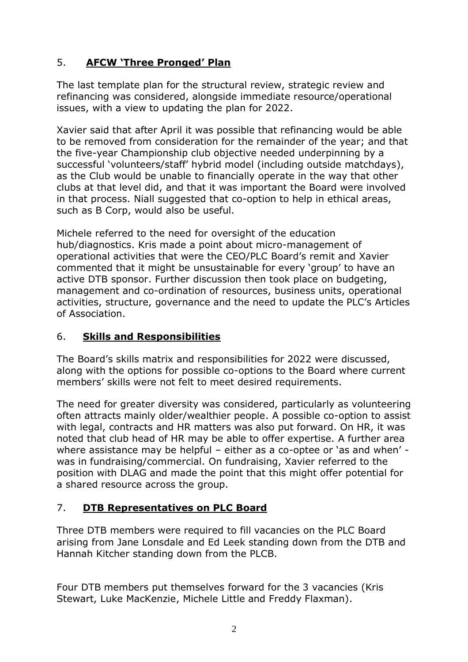# 5. **AFCW 'Three Pronged' Plan**

The last template plan for the structural review, strategic review and refinancing was considered, alongside immediate resource/operational issues, with a view to updating the plan for 2022.

Xavier said that after April it was possible that refinancing would be able to be removed from consideration for the remainder of the year; and that the five-year Championship club objective needed underpinning by a successful 'volunteers/staff' hybrid model (including outside matchdays), as the Club would be unable to financially operate in the way that other clubs at that level did, and that it was important the Board were involved in that process. Niall suggested that co-option to help in ethical areas, such as B Corp, would also be useful.

Michele referred to the need for oversight of the education hub/diagnostics. Kris made a point about micro-management of operational activities that were the CEO/PLC Board's remit and Xavier commented that it might be unsustainable for every 'group' to have an active DTB sponsor. Further discussion then took place on budgeting, management and co-ordination of resources, business units, operational activities, structure, governance and the need to update the PLC's Articles of Association.

# 6. **Skills and Responsibilities**

The Board's skills matrix and responsibilities for 2022 were discussed, along with the options for possible co-options to the Board where current members' skills were not felt to meet desired requirements.

The need for greater diversity was considered, particularly as volunteering often attracts mainly older/wealthier people. A possible co-option to assist with legal, contracts and HR matters was also put forward. On HR, it was noted that club head of HR may be able to offer expertise. A further area where assistance may be helpful – either as a co-optee or 'as and when' was in fundraising/commercial. On fundraising, Xavier referred to the position with DLAG and made the point that this might offer potential for a shared resource across the group.

# 7. **DTB Representatives on PLC Board**

Three DTB members were required to fill vacancies on the PLC Board arising from Jane Lonsdale and Ed Leek standing down from the DTB and Hannah Kitcher standing down from the PLCB.

Four DTB members put themselves forward for the 3 vacancies (Kris Stewart, Luke MacKenzie, Michele Little and Freddy Flaxman).